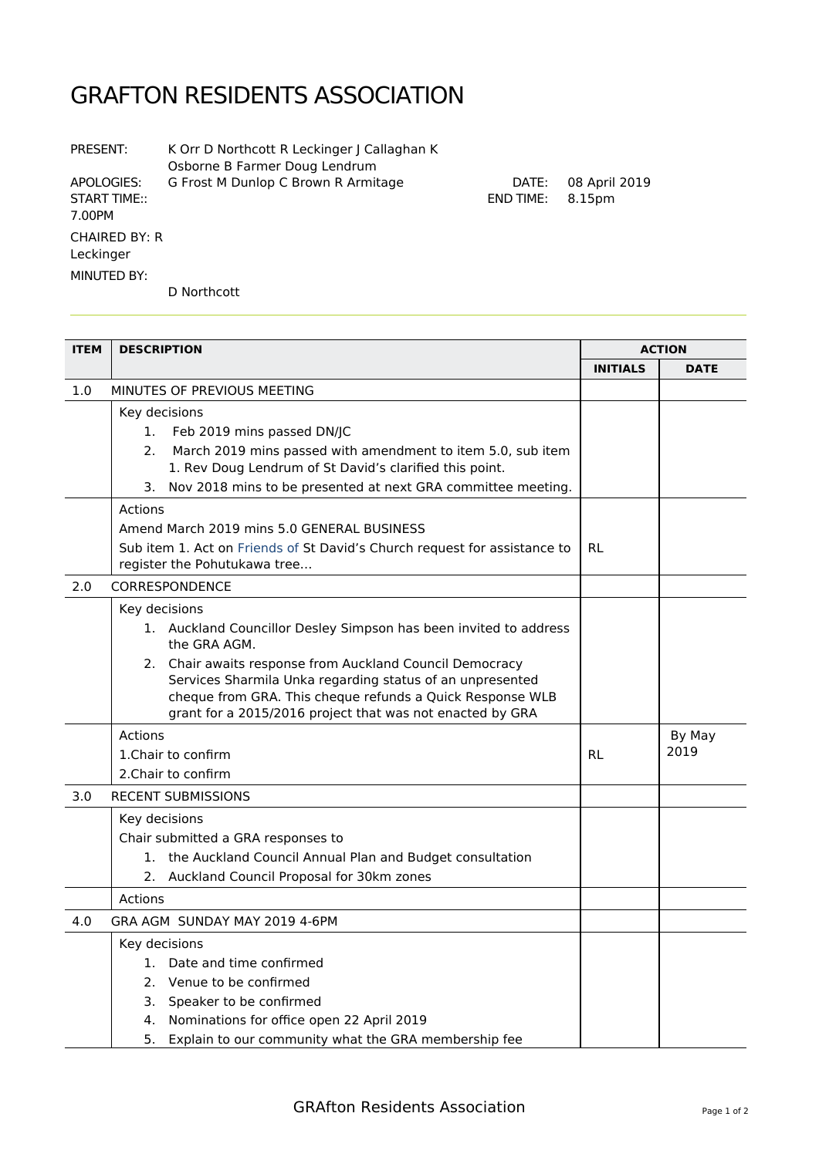## GRAFTON RESIDENTS ASSOCIATION

| PRESENT:                                    | K Orr D Northcott R Leckinger J Callaghan K<br>Osborne B Farmer Doug Lendrum |
|---------------------------------------------|------------------------------------------------------------------------------|
| APOLOGIES:<br><b>START TIME::</b><br>7.00PM | G Frost M Dunlop C Brown R Armitage                                          |
| <b>CHAIRED BY: R</b><br>Leckinger           |                                                                              |
| MINUTED BY:                                 |                                                                              |

D Northcott

| <b>ITEM</b> | <b>DESCRIPTION</b>                                                                                                                                                                                                                              |                 | <b>ACTION</b> |  |
|-------------|-------------------------------------------------------------------------------------------------------------------------------------------------------------------------------------------------------------------------------------------------|-----------------|---------------|--|
|             |                                                                                                                                                                                                                                                 | <b>INITIALS</b> | <b>DATE</b>   |  |
| 1.0         | MINUTES OF PREVIOUS MEETING                                                                                                                                                                                                                     |                 |               |  |
|             | Key decisions                                                                                                                                                                                                                                   |                 |               |  |
|             | 1.<br>Feb 2019 mins passed DN/JC                                                                                                                                                                                                                |                 |               |  |
|             | March 2019 mins passed with amendment to item 5.0, sub item<br>2.<br>1. Rev Doug Lendrum of St David's clarified this point.                                                                                                                    |                 |               |  |
|             | Nov 2018 mins to be presented at next GRA committee meeting.<br>3.                                                                                                                                                                              |                 |               |  |
|             | Actions                                                                                                                                                                                                                                         |                 |               |  |
|             | Amend March 2019 mins 5.0 GENERAL BUSINESS                                                                                                                                                                                                      |                 |               |  |
|             | Sub item 1. Act on Friends of St David's Church request for assistance to<br>register the Pohutukawa tree                                                                                                                                       | RL              |               |  |
| 2.0         | CORRESPONDENCE                                                                                                                                                                                                                                  |                 |               |  |
|             | Key decisions                                                                                                                                                                                                                                   |                 |               |  |
|             | 1. Auckland Councillor Desley Simpson has been invited to address<br>the GRA AGM.                                                                                                                                                               |                 |               |  |
|             | 2. Chair awaits response from Auckland Council Democracy<br>Services Sharmila Unka regarding status of an unpresented<br>cheque from GRA. This cheque refunds a Quick Response WLB<br>grant for a 2015/2016 project that was not enacted by GRA |                 |               |  |
|             | Actions                                                                                                                                                                                                                                         |                 | By May        |  |
|             | 1. Chair to confirm                                                                                                                                                                                                                             | <b>RL</b>       | 2019          |  |
|             | 2. Chair to confirm                                                                                                                                                                                                                             |                 |               |  |
| 3.0         | <b>RECENT SUBMISSIONS</b>                                                                                                                                                                                                                       |                 |               |  |
|             | Key decisions                                                                                                                                                                                                                                   |                 |               |  |
|             | Chair submitted a GRA responses to                                                                                                                                                                                                              |                 |               |  |
|             | 1. the Auckland Council Annual Plan and Budget consultation                                                                                                                                                                                     |                 |               |  |
|             | 2.<br>Auckland Council Proposal for 30km zones                                                                                                                                                                                                  |                 |               |  |
|             | Actions                                                                                                                                                                                                                                         |                 |               |  |
| 4.0         | GRA AGM SUNDAY MAY 2019 4-6PM                                                                                                                                                                                                                   |                 |               |  |
|             | Key decisions                                                                                                                                                                                                                                   |                 |               |  |
|             | Date and time confirmed<br>1.                                                                                                                                                                                                                   |                 |               |  |
|             | 2. Venue to be confirmed                                                                                                                                                                                                                        |                 |               |  |
|             | 3. Speaker to be confirmed                                                                                                                                                                                                                      |                 |               |  |
|             | 4. Nominations for office open 22 April 2019                                                                                                                                                                                                    |                 |               |  |
|             | 5.<br>Explain to our community what the GRA membership fee                                                                                                                                                                                      |                 |               |  |

DATE: 08 April 2019

END TIME: 8.15pm